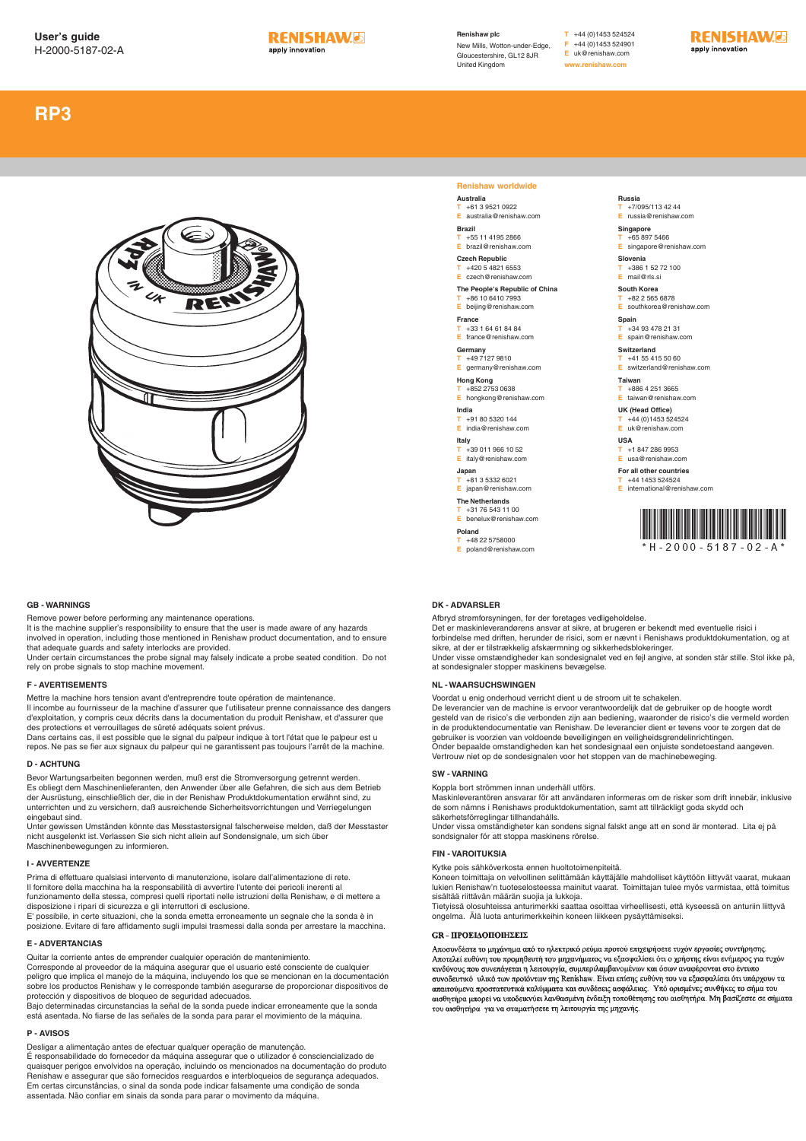

**Renishaw plc** New Mills, Wotton-under-Edge, Gloucestershire, GL12 8JR United Kingdom

# **RP3**



#### **GB - WARNINGS**

Remove power before performing any maintenance operations. It is the machine supplier's responsibility to ensure that the user is made aware of any hazards involved in operation, including those mentioned in Renishaw product documentation, and to ensure that adequate guards and safety interlocks are provided.

Under certain circumstances the probe signal may falsely indicate a probe seated condition. Do not rely on probe signals to stop machine movement.

#### **F - AVERTISEMENTS**

Mettre la machine hors tension avant d'entreprendre toute opération de maintenance. Il incombe au fournisseur de la machine d'assurer que l'utilisateur prenne connaissance des dangers d'exploitation, y compris ceux décrits dans la documentation du produit Renishaw, et d'assurer que des protections et verrouillages de sûreté adéquats soient prévus.

Dans certains cas, il est possible que le signal du palpeur indique à tort l'état que le palpeur est u repos. Ne pas se fier aux signaux du palpeur qui ne garantissent pas toujours l'arrêt de la machine.

### **D - ACHTUNG**

Bevor Wartungsarbeiten begonnen werden, muß erst die Stromversorgung getrennt werden. Es obliegt dem Maschinenlieferanten, den Anwender über alle Gefahren, die sich aus dem Betrieb der Ausrüstung, einschließlich der, die in der Renishaw Produktdokumentation erwähnt sind, zu unterrichten und zu versichern, daß ausreichende Sicherheitsvorrichtungen und Verriegelungen eingebaut sind.

Unter gewissen Umständen könnte das Messtastersignal falscherweise melden, daß der Messtaster nicht ausgelenkt ist. Verlassen Sie sich nicht allein auf Sondensignale, um sich über Maschinenbewegungen zu informieren.

#### **I - AVVERTENZE**

Prima di effettuare qualsiasi intervento di manutenzione, isolare dall'alimentazione di rete. Il fornitore della macchina ha la responsabilità di avvertire l'utente dei pericoli inerenti al funzionamento della stessa, compresi quelli riportati nelle istruzioni della Renishaw, e di mettere a disposizione i ripari di sicurezza e gli interruttori di esclusione. E' possibile, in certe situazioni, che la sonda emetta erroneamente un segnale che la sonda è in

posizione. Evitare di fare affidamento sugli impulsi trasmessi dalla sonda per arrestare la macchina.

## **E - ADVERTANCIAS**

Quitar la corriente antes de emprender cualquier operación de mantenimiento. Corresponde al proveedor de la máquina asegurar que el usuario esté consciente de cualquier peligro que implica el manejo de la máquina, incluyendo los que se mencionan en la documentación sobre los productos Renishaw y le corresponde también asegurarse de proporcionar dispositivos de protección y dispositivos de bloqueo de seguridad adecuados. Bajo determinadas circunstancias la señal de la sonda puede indicar erroneamente que la sonda

está asentada. No fiarse de las señales de la sonda para parar el movimiento de la máquina.

## **P - AVISOS**

Desligar a alimentação antes de efectuar qualquer operação de manutenção. É responsabilidade do fornecedor da máquina assegurar que o utilizador é consciencializado de quaisquer perigos envolvidos na operação, incluindo os mencionados na documentação do produto Renishaw e assegurar que são fornecidos resguardos e interbloqueios de segurança adequados. Em certas circunstâncias, o sinal da sonda pode indicar falsamente uma condição de sonda assentada. Não confiar em sinais da sonda para parar o movimento da máquina.

## **Renishaw worldwide**

**Australia T** +61 3 9521 0922 **E** australia@renishaw.com

**Brazil T** +55 11 4195 2866<br>**F** hrazil@renishaw.org **E** brazil@renishaw.com

**Czech Republic T** +420 5 4821 6553

**E** czech@renishaw.com

**The People's Republic of China T** +86 10 6410 7993 **Example 2016** 10:00

**France T** +33 1 64 61 84 84 **E** france@renishaw.com

**Germany T** +49 7127 9810

**E** germany@renishaw.com

**Hong Kong T** +852 2753 0638 **E** hongkong@renishaw.com

**India T** +91 80 5320 144 **E** india@renishaw.com

**Italy**

**T** +39 011 966 10 52 **E** italy@renishaw.com

**Japan T** +81 3 5332 6021 **E** japan@renishaw.com

**The Netherlands T** +31 76 543 11 00 **E** benelux@renishaw.com

**Poland T** +48 22 5758000

**E** poland@renishaw.com

## **Russia**

**T** +7/095/113 42 44 **E** russia@renishaw.com

**Singapore T** +65 897 5466

**E** singapore@renishaw.com **Slovenia**

**T** +386 1 52 72 100

**E** mail@rls.si **South Korea**

**T** +82 2 565 6878 **E** southkorea@renishaw.com

**Spain T** +34 93 478 21 31

**E** spain@renishaw.com **Switzerland**

**T** +41 55 415 50 60 **E** switzerland@renishaw.com

**Taiw T** +886 4 251 3665<br>**F** taiwan@renishay

**E** taiwan@renishaw.com **UK (Head Office)**

**T** +44 (0)1453 524524

**E** uk@renishaw.com

**USA**

**T** +1 847 286 9953 **E** usa@renishaw.com

**For all other countries**

**T** +44 1453 524524 **E** international@renishaw.com



#### **DK - ADVARSLER**

Afbryd strømforsyningen, før der foretages vedligeholdelse. Det er maskinleverandørens ansvar at sikre, at brugeren er bekendt med eventuelle risici i forbindelse med driften, herunder de risici, som er nævnt i Renishaws produktdokumentation, og at sikre, at der er tilstrækkelig afskærmning og sikkerhedsblokeringer.

Under visse omstændigheder kan sondesignalet ved en fejl angive, at sonden står stille. Stol ikke på, at sondesignaler stopper maskinens bevægelse.

#### **NL - WAARSUCHSWINGEN**

Voordat u enig onderhoud verricht dient u de stroom uit te schakelen.

De leverancier van de machine is ervoor verantwoordelijk dat de gebruiker op de hoogte wordt gesteld van de risico's die verbonden zijn aan bediening, waaronder de risico's die vermeld worden in de produktendocumentatie van Renishaw. De leverancier dient er tevens voor te zorgen dat de gebruiker is voorzien van voldoende beveiligingen en veiligheidsgrendelinrichtingen. Onder bepaalde omstandigheden kan het sondesignaal een onjuiste sondetoestand aangeven. Vertrouw niet op de sondesignalen voor het stoppen van de machinebeweging.

#### **SW - VARNING**

Koppla bort strömmen innan underhåll utförs.

Maskinleverantören ansvarar för att användaren informeras om de risker som drift innebär, inklusive de som nämns i Renishaws produktdokumentation, samt att tillräckligt goda skydd och säkerhetsförreglingar tillhandahålls.

Under vissa omständigheter kan sondens signal falskt ange att en sond är monterad. Lita ej på sondsignaler för att stoppa maskinens rörelse.

#### **FIN - VAROITUKSIA**

Kytke pois sähköverkosta ennen huoltotoimenpiteitä.

Koneen toimittaja on velvollinen selittämään käyttäjälle mahdolliset käyttöön liittyvät vaarat, mukaan lukien Renishaw'n tuoteselosteessa mainitut vaarat. Toimittajan tulee myös varmistaa, että toimitus

sisältää riittävän määrän suojia ja lukkoja. Tietyissä olosuhteissa anturimerkki saattaa osoittaa virheellisesti, että kyseessä on anturiin liittyvä ongelma. Älä luota anturimerkkeihin koneen liikkeen pysäyttämiseksi.

#### **GR - ΠΡΟΕΙΛΟΠΟΙΗΣΕΙΣ**

Αποσυνδέστε το μηγάνημα από το ηλεκτρικό ρεύμα προτού επιγειρήσετε τυγόν εργασίες συντήρησης. - Αποτελεί ευθύνη του προμηθευτή του μηχανήματος να εξασφαλίσει ότι ο χρήστης είναι ενήμερος για τυχόν κικό δύνους που συνεπάγεται η λειτουργία, συμπεριλαμβανομένων και όσων αναφέρονται στο έντυπο.<br>κινδύνους που συνεπάγεται η λειτουργία, συμπεριλαμβανομένων και όσων αναφέρονται στο έντυπο.<br>συνοδευτικό υλικό των προϊόντων τ απαιτούμενα προστατευτικά καλύμματα και συνδέσεις ασφάλειας. Υπό ορισμένες συνθήκες το σήμα τοι αισθητήρα μπορεί να υποδεικνύει λανθασμένη ένδειξη τοποθέτησης του αισθητήρα. Μη βασίζεστε σε σήματα του αισθητήρα για να σταματήσετε τη λειτουργία της μηχανής.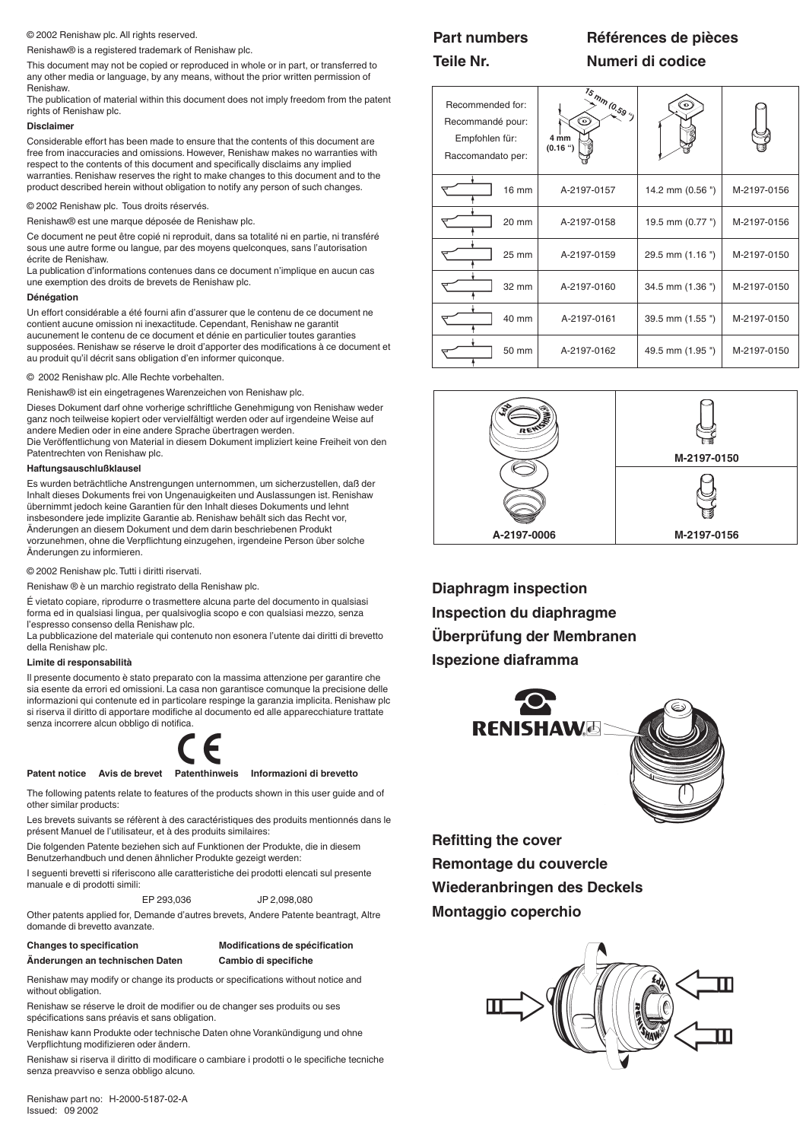#### © 2002 Renishaw plc. All rights reserved.

Renishaw® is a registered trademark of Renishaw plc.

This document may not be copied or reproduced in whole or in part, or transferred to any other media or language, by any means, without the prior written permission of Renishaw.

The publication of material within this document does not imply freedom from the patent rights of Renishaw plc.

#### **Disclaimer**

Considerable effort has been made to ensure that the contents of this document are free from inaccuracies and omissions. However, Renishaw makes no warranties with respect to the contents of this document and specifically disclaims any implied warranties. Renishaw reserves the right to make changes to this document and to the product described herein without obligation to notify any person of such changes.

© 2002 Renishaw plc. Tous droits réservés.

Renishaw® est une marque déposée de Renishaw plc.

Ce document ne peut être copié ni reproduit, dans sa totalité ni en partie, ni transféré sous une autre forme ou langue, par des moyens quelconques, sans l'autorisation écrite de Renishaw.

La publication d'informations contenues dans ce document n'implique en aucun cas une exemption des droits de brevets de Renishaw plc.

#### **Dénégation**

Un effort considérable a été fourni afin d'assurer que le contenu de ce document ne contient aucune omission ni inexactitude. Cependant, Renishaw ne garantit aucunement le contenu de ce document et dénie en particulier toutes garanties supposées. Renishaw se réserve le droit d'apporter des modifications à ce document et au produit qu'il décrit sans obligation d'en informer quiconque.

### © 2002 Renishaw plc. Alle Rechte vorbehalten.

Renishaw® ist ein eingetragenes Warenzeichen von Renishaw plc.

Dieses Dokument darf ohne vorherige schriftliche Genehmigung von Renishaw weder ganz noch teilweise kopiert oder vervielfältigt werden oder auf irgendeine Weise auf andere Medien oder in eine andere Sprache übertragen werden.

Die Veröffentlichung von Material in diesem Dokument impliziert keine Freiheit von den Patentrechten von Renishaw plc.

### **Haftungsauschlußklausel**

Es wurden beträchtliche Anstrengungen unternommen, um sicherzustellen, daß der Inhalt dieses Dokuments frei von Ungenauigkeiten und Auslassungen ist. Renishaw übernimmt jedoch keine Garantien für den Inhalt dieses Dokuments und lehnt insbesondere jede implizite Garantie ab. Renishaw behält sich das Recht vor, Änderungen an diesem Dokument und dem darin beschriebenen Produkt vorzunehmen, ohne die Verpflichtung einzugehen, irgendeine Person über solche Änderungen zu informieren.

© 2002 Renishaw plc. Tutti i diritti riservati.

Renishaw ® è un marchio registrato della Renishaw plc.

É vietato copiare, riprodurre o trasmettere alcuna parte del documento in qualsiasi forma ed in qualsiasi lingua, per qualsivoglia scopo e con qualsiasi mezzo, senza l'espresso consenso della Renishaw plc.

La pubblicazione del materiale qui contenuto non esonera l'utente dai diritti di brevetto della Renishaw plc.

#### **Limite di responsabilità**

Il presente documento è stato preparato con la massima attenzione per garantire che sia esente da errori ed omissioni. La casa non garantisce comunque la precisione delle informazioni qui contenute ed in particolare respinge la garanzia implicita. Renishaw plc si riserva il diritto di apportare modifiche al documento ed alle apparecchiature trattate senza incorrere alcun obbligo di notifica.

#### **Patent notice Avis de brevet Patenthinweis Informazioni di brevetto**

The following patents relate to features of the products shown in this user guide and of other similar products:

Les brevets suivants se réfèrent à des caractéristiques des produits mentionnés dans le présent Manuel de l'utilisateur, et à des produits similaires:

Die folgenden Patente beziehen sich auf Funktionen der Produkte, die in diesem Benutzerhandbuch und denen ähnlicher Produkte gezeigt werden:

I seguenti brevetti si riferiscono alle caratteristiche dei prodotti elencati sul presente manuale e di prodotti simili:

EP 293,036 JP 2,098,080

Other patents applied for, Demande d'autres brevets, Andere Patente beantragt, Altre domande di brevetto avanzate.

# **Changes to specification Modifications de spécification**

**Änderungen an technischen Daten Cambio di specifiche**

Renishaw may modify or change its products or specifications without notice and without obligation.

Renishaw se réserve le droit de modifier ou de changer ses produits ou ses spécifications sans préavis et sans obligation.

Renishaw kann Produkte oder technische Daten ohne Vorankündigung und ohne Verpflichtung modifizieren oder ändern.

Renishaw si riserva il diritto di modificare o cambiare i prodotti o le specifiche tecniche senza preavviso e senza obbligo alcuno.

**Part numbers Références de pièces**

**Teile Nr. Numeri di codice**

| Recommended for:<br>Recommandé pour:<br>Empfohlen für:<br>Raccomandato per: | $\frac{1_{\mathcal{S}_{m_{m_{\alpha_{s}}}}}}{m_{\alpha_{s_{\mathcal{S}_{s_{\gamma}}}}}}$<br>⊙<br>4 mm<br>(0.16) |                  |             |
|-----------------------------------------------------------------------------|-----------------------------------------------------------------------------------------------------------------|------------------|-------------|
| 16 mm                                                                       | A-2197-0157                                                                                                     | 14.2 mm (0.56 ") | M-2197-0156 |
| 20 mm                                                                       | A-2197-0158                                                                                                     | 19.5 mm (0.77 ") | M-2197-0156 |
| 25 mm                                                                       | A-2197-0159                                                                                                     | 29.5 mm (1.16")  | M-2197-0150 |
| 32 mm                                                                       | A-2197-0160                                                                                                     | 34.5 mm (1.36")  | M-2197-0150 |
| 40 mm                                                                       | A-2197-0161                                                                                                     | 39.5 mm (1.55")  | M-2197-0150 |
| 50 mm                                                                       | A-2197-0162                                                                                                     | 49.5 mm (1.95")  | M-2197-0150 |



**Diaphragm inspection Inspection du diaphragme Überprüfung der Membranen Ispezione diaframma**



**Refitting the cover Remontage du couvercle Wiederanbringen des Deckels Montaggio coperchio**

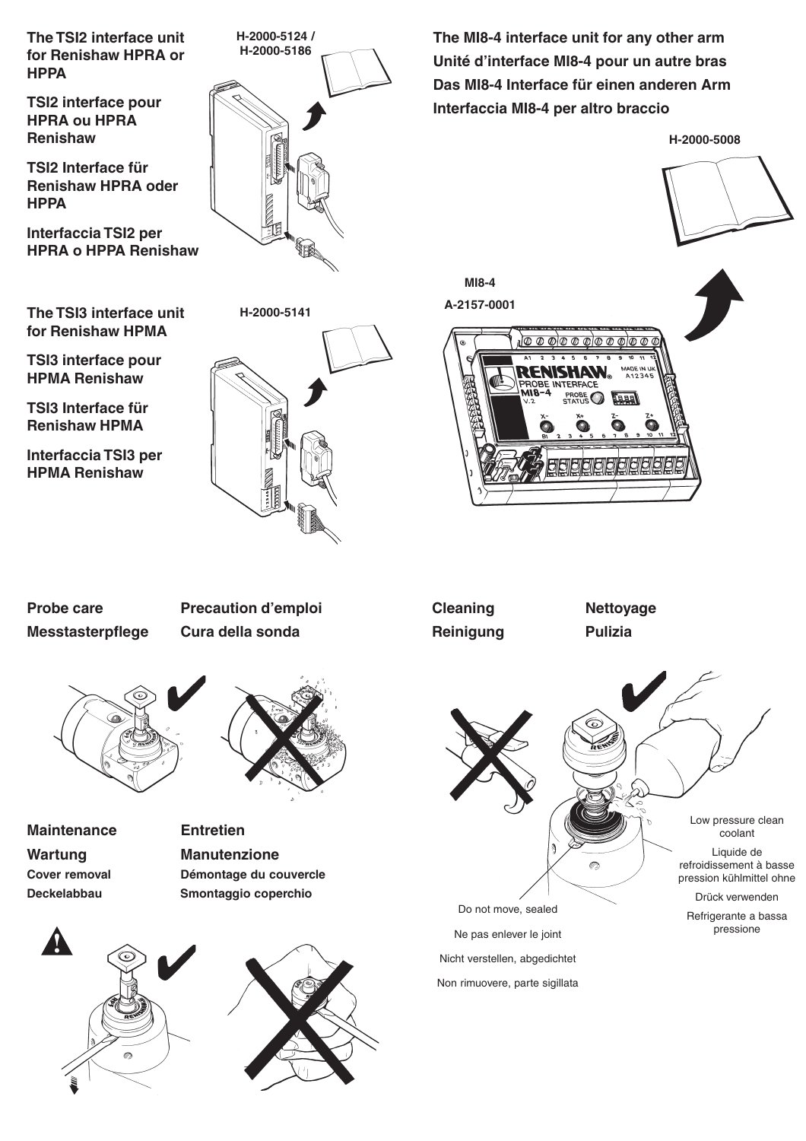**The TSI2 interface unit for Renishaw HPRA or HPPA**

**TSI2 interface pour HPRA ou HPRA Renishaw**

**TSI2 Interface für Renishaw HPRA oder HPPA**

**Interfaccia TSI2 per HPRA o HPPA Renishaw**

**The TSI3 interface unit for Renishaw HPMA**

**TSI3 interface pour HPMA Renishaw**

**TSI3 Interface für Renishaw HPMA**

**Interfaccia TSI3 per HPMA Renishaw**



**The MI8-4 interface unit for any other arm Unité d'interface MI8-4 pour un autre bras Das MI8-4 Interface für einen anderen Arm Interfaccia MI8-4 per altro braccio**

1000000000000

**H-2000-5008**





**Cleaning Nettoyage Reinigung Pulizia**

**MI8-4 A-2157-0001**

dddee



Nicht verstellen, abgedichtet Non rimuovere, parte sigillata

**Messtasterpflege Cura della sonda**

**Probe care Precaution d'emploi**



**Maintenance Entretien** Wartung **Manutenzione** 





Cover removal **Démontage du couvercle Deckelabbau Smontaggio coperchio**